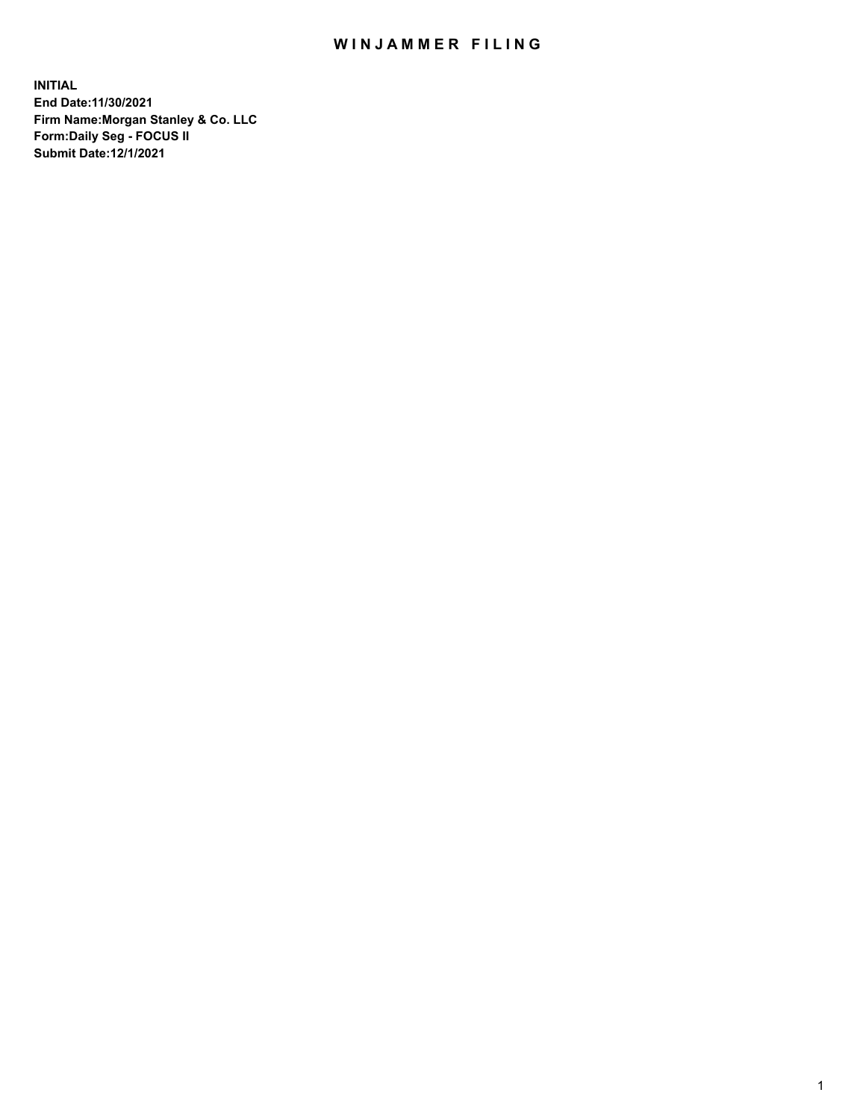## WIN JAMMER FILING

**INITIAL End Date:11/30/2021 Firm Name:Morgan Stanley & Co. LLC Form:Daily Seg - FOCUS II Submit Date:12/1/2021**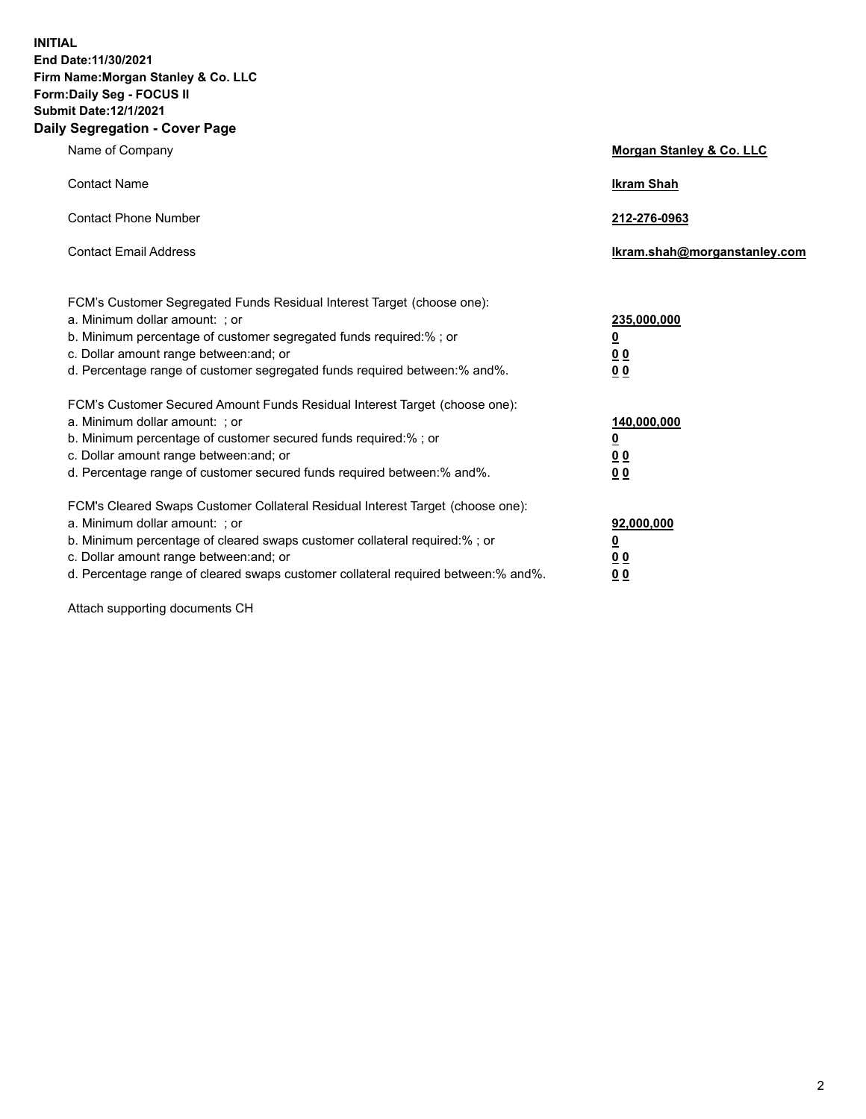**INITIAL End Date:11/30/2021 Firm Name:Morgan Stanley & Co. LLC Form:Daily Seg - FOCUS II Submit Date:12/1/2021 Daily Segregation - Cover Page**

| Name of Company                                                                                                                                                                                                                                                                                                                | <b>Morgan Stanley &amp; Co. LLC</b>                    |
|--------------------------------------------------------------------------------------------------------------------------------------------------------------------------------------------------------------------------------------------------------------------------------------------------------------------------------|--------------------------------------------------------|
| <b>Contact Name</b>                                                                                                                                                                                                                                                                                                            | <b>Ikram Shah</b>                                      |
| <b>Contact Phone Number</b>                                                                                                                                                                                                                                                                                                    | 212-276-0963                                           |
| <b>Contact Email Address</b>                                                                                                                                                                                                                                                                                                   | Ikram.shah@morganstanley.com                           |
| FCM's Customer Segregated Funds Residual Interest Target (choose one):<br>a. Minimum dollar amount: ; or<br>b. Minimum percentage of customer segregated funds required:% ; or<br>c. Dollar amount range between: and; or<br>d. Percentage range of customer segregated funds required between:% and%.                         | 235,000,000<br><u>0</u><br>0 Q<br>0 Q                  |
| FCM's Customer Secured Amount Funds Residual Interest Target (choose one):<br>a. Minimum dollar amount: ; or<br>b. Minimum percentage of customer secured funds required:% ; or<br>c. Dollar amount range between: and; or<br>d. Percentage range of customer secured funds required between: % and %.                         | 140,000,000<br><u>0</u><br><u>00</u><br>0 <sub>0</sub> |
| FCM's Cleared Swaps Customer Collateral Residual Interest Target (choose one):<br>a. Minimum dollar amount: ; or<br>b. Minimum percentage of cleared swaps customer collateral required:% ; or<br>c. Dollar amount range between: and; or<br>d. Percentage range of cleared swaps customer collateral required between:% and%. | 92,000,000<br><u>0</u><br>0 Q<br>00                    |

Attach supporting documents CH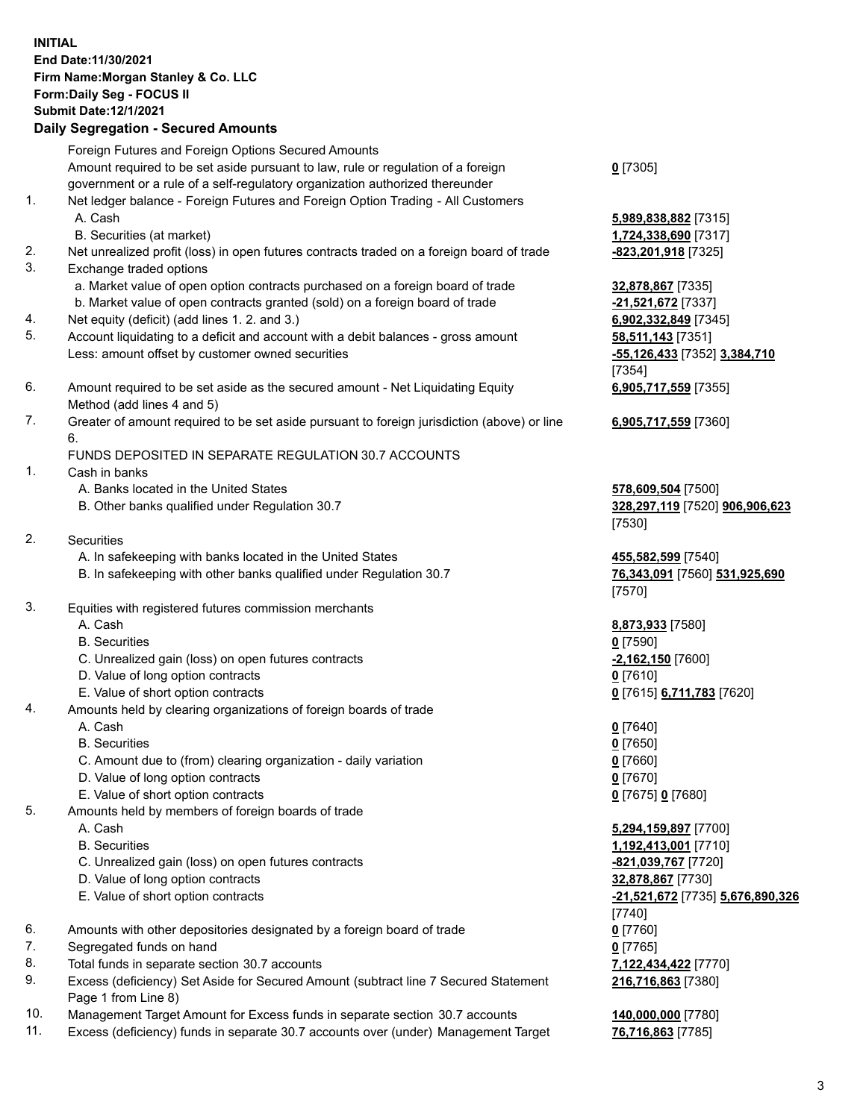## **INITIAL End Date:11/30/2021 Firm Name:Morgan Stanley & Co. LLC Form:Daily Seg - FOCUS II Submit Date:12/1/2021 Daily Segregation - Secured Amounts** Foreign Futures and Foreign Options Secured Amounts

Amount required to be set aside pursuant to law, rule or regulation of a foreign government or a rule of a self-regulatory organization authorized thereunder 1. Net ledger balance - Foreign Futures and Foreign Option Trading - All Customers A. Cash **5,989,838,882** [7315] B. Securities (at market) **1,724,338,690** [7317] 2. Net unrealized profit (loss) in open futures contracts traded on a foreign board of trade **-823,201,918** [7325] 3. Exchange traded options a. Market value of open option contracts purchased on a foreign board of trade **32,878,867** [7335] b. Market value of open contracts granted (sold) on a foreign board of trade **-21,521,672** [7337] 4. Net equity (deficit) (add lines 1. 2. and 3.) **6,902,332,849** [7345] 5. Account liquidating to a deficit and account with a debit balances - gross amount **58,511,143** [7351] Less: amount offset by customer owned securities **-55,126,433** [7352] **3,384,710** 6. Amount required to be set aside as the secured amount - Net Liquidating Equity Method (add lines 4 and 5) 7. Greater of amount required to be set aside pursuant to foreign jurisdiction (above) or line 6. FUNDS DEPOSITED IN SEPARATE REGULATION 30.7 ACCOUNTS 1. Cash in banks A. Banks located in the United States **578,609,504** [7500] B. Other banks qualified under Regulation 30.7 **328,297,119** [7520] **906,906,623** 2. Securities A. In safekeeping with banks located in the United States **455,582,599** [7540] B. In safekeeping with other banks qualified under Regulation 30.7 **76,343,091** [7560] **531,925,690** 3. Equities with registered futures commission merchants A. Cash **8,873,933** [7580] B. Securities **0** [7590] C. Unrealized gain (loss) on open futures contracts **-2,162,150** [7600] D. Value of long option contracts **0** [7610] E. Value of short option contracts **0** [7615] **6,711,783** [7620] 4. Amounts held by clearing organizations of foreign boards of trade A. Cash **0** [7640] B. Securities **0** [7650] C. Amount due to (from) clearing organization - daily variation **0** [7660] D. Value of long option contracts **0** [7670] E. Value of short option contracts **0** [7675] **0** [7680]

5. Amounts held by members of foreign boards of trade

- 
- C. Unrealized gain (loss) on open futures contracts **-821,039,767** [7720]
- D. Value of long option contracts **32,878,867** [7730]
- 
- 6. Amounts with other depositories designated by a foreign board of trade **0** [7760]
- 7. Segregated funds on hand **0** [7765]
- 8. Total funds in separate section 30.7 accounts **7,122,434,422** [7770]
- 9. Excess (deficiency) Set Aside for Secured Amount (subtract line 7 Secured Statement Page 1 from Line 8)
- 10. Management Target Amount for Excess funds in separate section 30.7 accounts **140,000,000** [7780]
- 11. Excess (deficiency) funds in separate 30.7 accounts over (under) Management Target **76,716,863** [7785]

**0** [7305]

[7354] **6,905,717,559** [7355]

**6,905,717,559** [7360]

[7530]

[7570]

 A. Cash **5,294,159,897** [7700] B. Securities **1,192,413,001** [7710] E. Value of short option contracts **-21,521,672** [7735] **5,676,890,326** [7740] **216,716,863** [7380]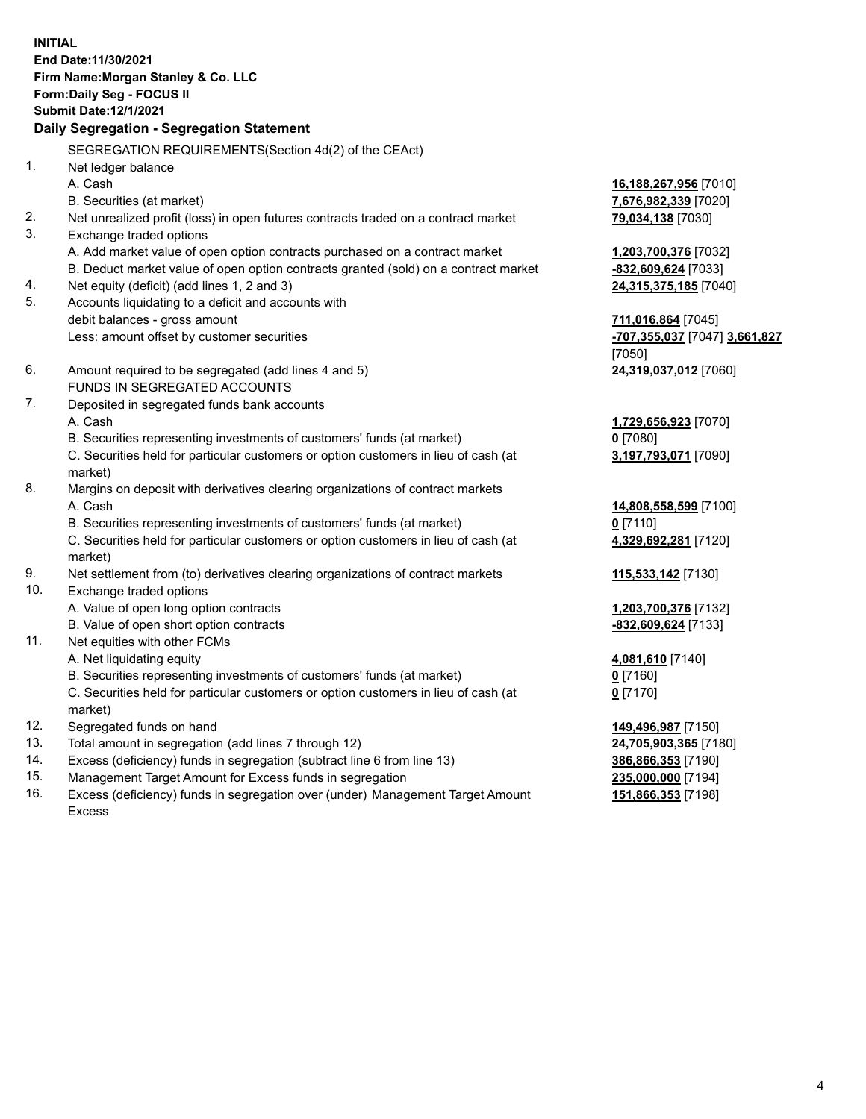**INITIAL End Date:11/30/2021 Firm Name:Morgan Stanley & Co. LLC Form:Daily Seg - FOCUS II Submit Date:12/1/2021 Daily Segregation - Segregation Statement** SEGREGATION REQUIREMENTS(Section 4d(2) of the CEAct) 1. Net ledger balance A. Cash **16,188,267,956** [7010] B. Securities (at market) **7,676,982,339** [7020] 2. Net unrealized profit (loss) in open futures contracts traded on a contract market **79,034,138** [7030] 3. Exchange traded options A. Add market value of open option contracts purchased on a contract market **1,203,700,376** [7032] B. Deduct market value of open option contracts granted (sold) on a contract market **-832,609,624** [7033] 4. Net equity (deficit) (add lines 1, 2 and 3) **24,315,375,185** [7040] 5. Accounts liquidating to a deficit and accounts with debit balances - gross amount **711,016,864** [7045] Less: amount offset by customer securities **-707,355,037** [7047] **3,661,827** [7050] 6. Amount required to be segregated (add lines 4 and 5) **24,319,037,012** [7060] FUNDS IN SEGREGATED ACCOUNTS 7. Deposited in segregated funds bank accounts A. Cash **1,729,656,923** [7070] B. Securities representing investments of customers' funds (at market) **0** [7080] C. Securities held for particular customers or option customers in lieu of cash (at market) **3,197,793,071** [7090] 8. Margins on deposit with derivatives clearing organizations of contract markets A. Cash **14,808,558,599** [7100] B. Securities representing investments of customers' funds (at market) **0** [7110] C. Securities held for particular customers or option customers in lieu of cash (at market) **4,329,692,281** [7120] 9. Net settlement from (to) derivatives clearing organizations of contract markets **115,533,142** [7130] 10. Exchange traded options A. Value of open long option contracts **1,203,700,376** [7132] B. Value of open short option contracts **-832,609,624** [7133] 11. Net equities with other FCMs A. Net liquidating equity **4,081,610** [7140] B. Securities representing investments of customers' funds (at market) **0** [7160] C. Securities held for particular customers or option customers in lieu of cash (at market) **0** [7170] 12. Segregated funds on hand **149,496,987** [7150] 13. Total amount in segregation (add lines 7 through 12) **24,705,903,365** [7180] 14. Excess (deficiency) funds in segregation (subtract line 6 from line 13) **386,866,353** [7190] 15. Management Target Amount for Excess funds in segregation **235,000,000** [7194]

16. Excess (deficiency) funds in segregation over (under) Management Target Amount Excess

**151,866,353** [7198]